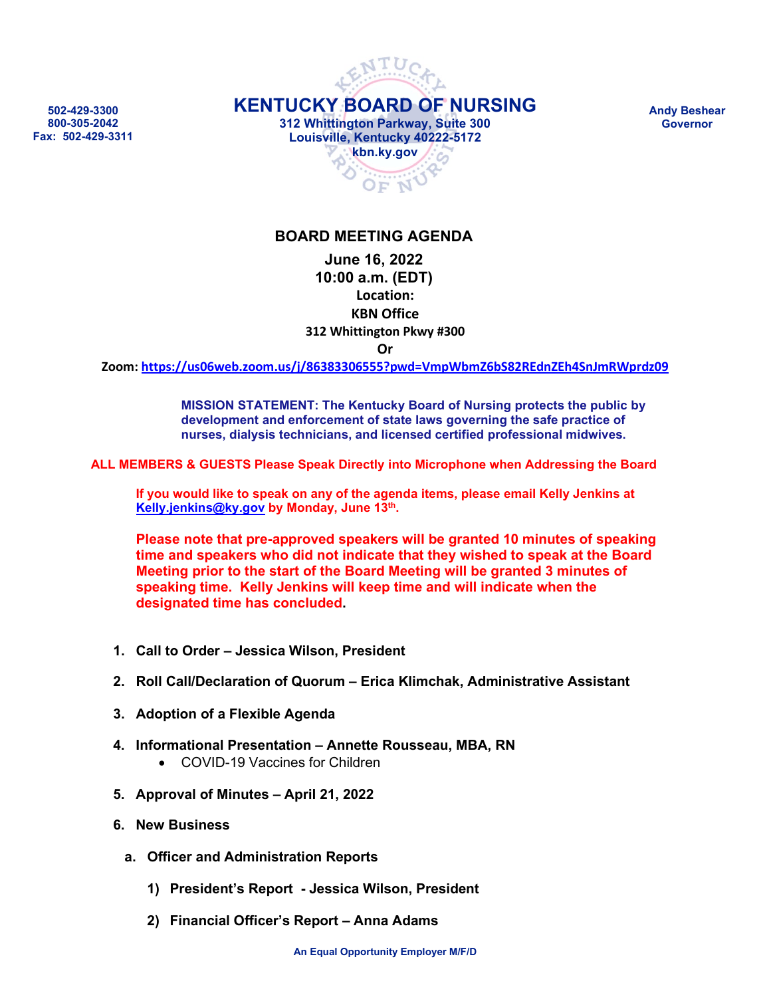**502-429-3300 800-305-2042 Fax: 502-429-3311**



**Andy Beshear Governor**

#### **BOARD MEETING AGENDA**

#### **June 16, 2022 10:00 a.m. (EDT) Location: KBN Office 312 Whittington Pkwy #300 Or**

**Zoom: <https://us06web.zoom.us/j/86383306555?pwd=VmpWbmZ6bS82REdnZEh4SnJmRWprdz09>**

**MISSION STATEMENT: The Kentucky Board of Nursing protects the public by development and enforcement of state laws governing the safe practice of nurses, dialysis technicians, and licensed certified professional midwives.**

**ALL MEMBERS & GUESTS Please Speak Directly into Microphone when Addressing the Board**

**If you would like to speak on any of the agenda items, please email Kelly Jenkins at [Kelly.jenkins@ky.gov](mailto:Kelly.jenkins@ky.gov) by Monday, June 13th.**

**Please note that pre-approved speakers will be granted 10 minutes of speaking time and speakers who did not indicate that they wished to speak at the Board Meeting prior to the start of the Board Meeting will be granted 3 minutes of speaking time. Kelly Jenkins will keep time and will indicate when the designated time has concluded.**

- **1. Call to Order – Jessica Wilson, President**
- **2. Roll Call/Declaration of Quorum – Erica Klimchak, Administrative Assistant**
- **3. Adoption of a Flexible Agenda**
- **4. Informational Presentation – Annette Rousseau, MBA, RN**
	- COVID-19 Vaccines for Children
- **5. Approval of Minutes – April 21, 2022**
- **6. New Business**
	- **a. Officer and Administration Reports** 
		- **1) President's Report - Jessica Wilson, President**
		- **2) Financial Officer's Report – Anna Adams**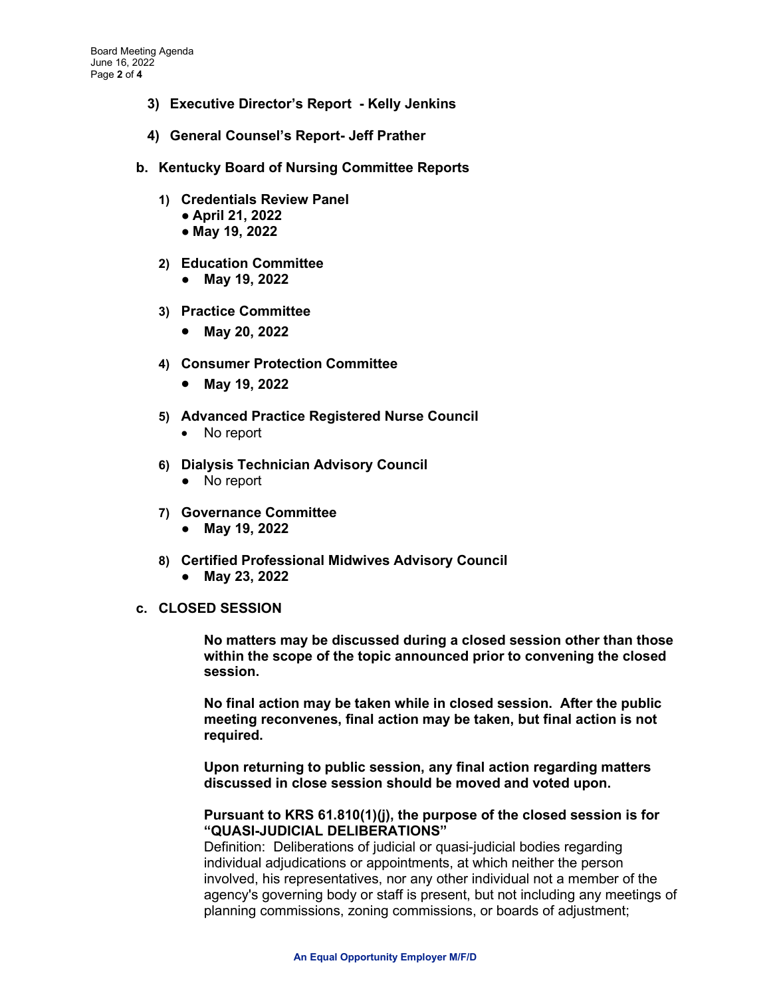- **3) Executive Director's Report - Kelly Jenkins**
- **4) General Counsel's Report- Jeff Prather**
- **b. Kentucky Board of Nursing Committee Reports** 
	- **1) Credentials Review Panel**
		- **April 21, 2022**
		- **May 19, 2022**
	- **2) Education Committee**
		- **May 19, 2022**
	- **3) Practice Committee**
		- **May 20, 2022**
	- **4) Consumer Protection Committee**
		- **May 19, 2022**
	- **5) Advanced Practice Registered Nurse Council**
		- No report
	- **6) Dialysis Technician Advisory Council** 
		- No report
	- **7) Governance Committee**
		- **May 19, 2022**
	- **8) Certified Professional Midwives Advisory Council**  ● **May 23, 2022**
- **c. CLOSED SESSION**

**No matters may be discussed during a closed session other than those within the scope of the topic announced prior to convening the closed session.** 

**No final action may be taken while in closed session. After the public meeting reconvenes, final action may be taken, but final action is not required.**

**Upon returning to public session, any final action regarding matters discussed in close session should be moved and voted upon.**

#### **Pursuant to KRS 61.810(1)(j), the purpose of the closed session is for "QUASI-JUDICIAL DELIBERATIONS"**

Definition: Deliberations of judicial or quasi-judicial bodies regarding individual adjudications or appointments, at which neither the person involved, his representatives, nor any other individual not a member of the agency's governing body or staff is present, but not including any meetings of planning commissions, zoning commissions, or boards of adjustment;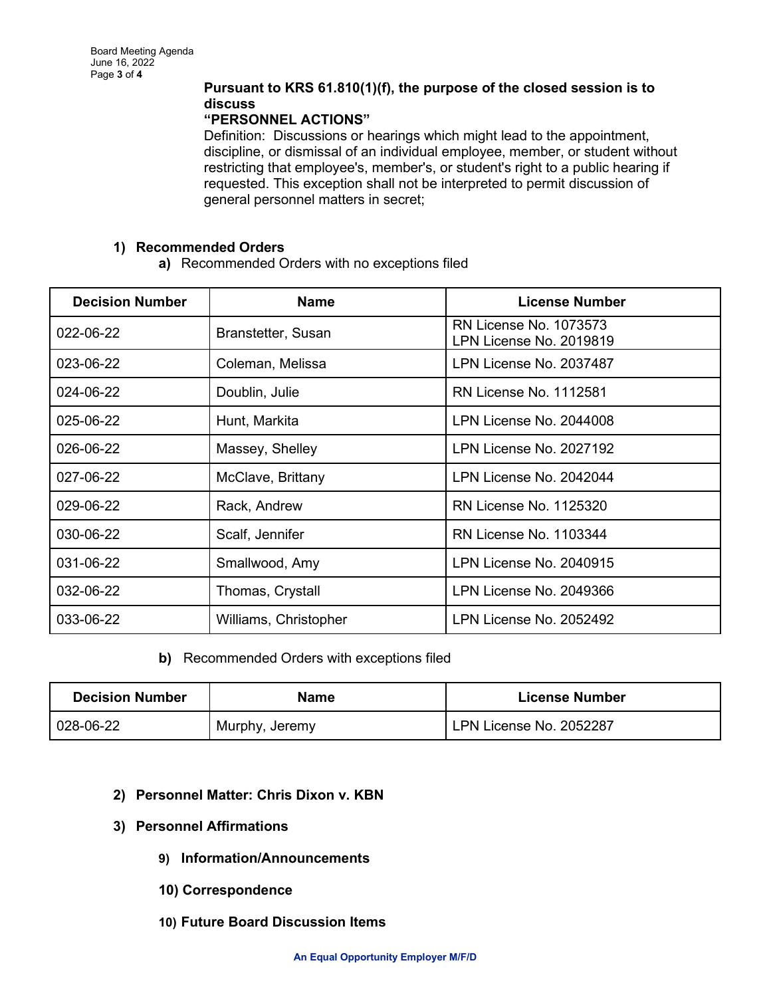### **Pursuant to KRS 61.810(1)(f), the purpose of the closed session is to discuss**

#### **"PERSONNEL ACTIONS"**

Definition:Discussions or hearings which might lead to the appointment, discipline, or dismissal of an individual employee, member, or student without restricting that employee's, member's, or student's right to a public hearing if requested. This exception shall not be interpreted to permit discussion of general personnel matters in secret;

#### **1) Recommended Orders**

**a)** Recommended Orders with no exceptions filed

| <b>Decision Number</b> | <b>Name</b>           | <b>License Number</b>                                    |
|------------------------|-----------------------|----------------------------------------------------------|
| 022-06-22              | Branstetter, Susan    | <b>RN License No. 1073573</b><br>LPN License No. 2019819 |
| 023-06-22              | Coleman, Melissa      | LPN License No. 2037487                                  |
| $024 - 06 - 22$        | Doublin, Julie        | <b>RN License No. 1112581</b>                            |
| 025-06-22              | Hunt, Markita         | LPN License No. 2044008                                  |
| 026-06-22              | Massey, Shelley       | LPN License No. 2027192                                  |
| 027-06-22              | McClave, Brittany     | LPN License No. 2042044                                  |
| 029-06-22              | Rack, Andrew          | RN License No. 1125320                                   |
| 030-06-22              | Scalf, Jennifer       | <b>RN License No. 1103344</b>                            |
| 031-06-22              | Smallwood, Amy        | LPN License No. 2040915                                  |
| 032-06-22              | Thomas, Crystall      | LPN License No. 2049366                                  |
| 033-06-22              | Williams, Christopher | LPN License No. 2052492                                  |

**b)** Recommended Orders with exceptions filed

| <b>Decision Number</b> | <b>Name</b>    | <b>License Number</b>   |
|------------------------|----------------|-------------------------|
| 028-06-22              | Murphy, Jeremy | LPN License No. 2052287 |

- **2) Personnel Matter: Chris Dixon v. KBN**
- **3) Personnel Affirmations**
	- **9) Information/Announcements**
	- **10) Correspondence**
	- **10) Future Board Discussion Items**